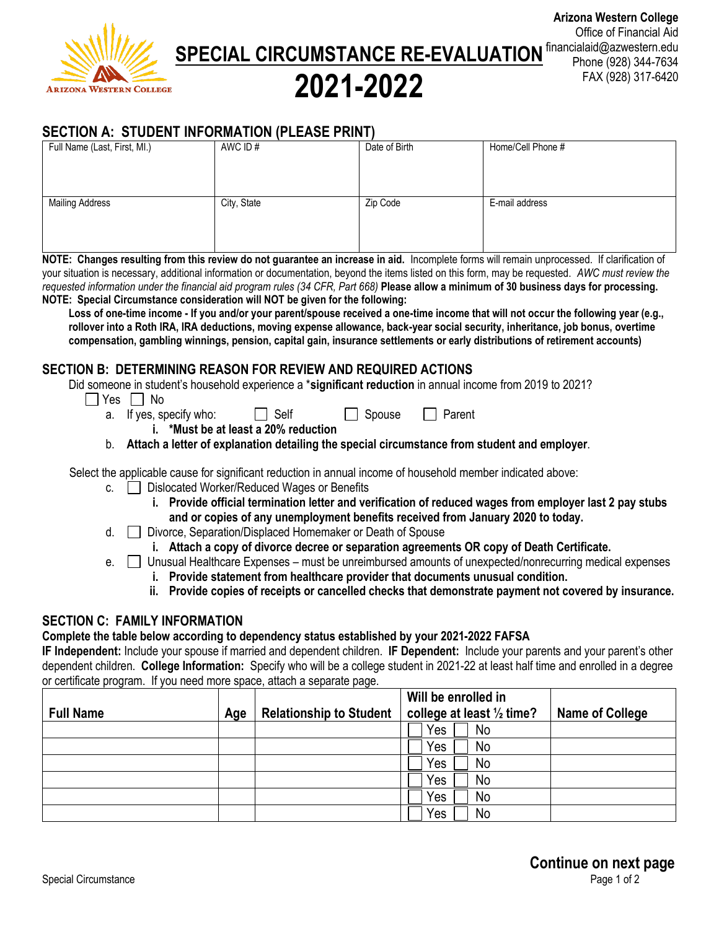

**SPECIAL CIRCUMSTANCE RE-EVALUATION** financialaid@azwestern.edu

**2021-2022**

# **Arizona Western College** Office of Financial Aid Phone (928) 344-7634 FAX (928) 317-6420

# **SECTION A: STUDENT INFORMATION (PLEASE PRINT)**

| Full Name (Last, First, MI.) | AWC ID#     | Date of Birth | Home/Cell Phone # |
|------------------------------|-------------|---------------|-------------------|
|                              |             |               |                   |
|                              |             |               |                   |
|                              |             |               |                   |
| <b>Mailing Address</b>       | City, State | Zip Code      | E-mail address    |
|                              |             |               |                   |
|                              |             |               |                   |
|                              |             |               |                   |

**NOTE: Changes resulting from this review do not guarantee an increase in aid.** Incomplete forms will remain unprocessed. If clarification of your situation is necessary, additional information or documentation, beyond the items listed on this form, may be requested. *AWC must review the requested information under the financial aid program rules (34 CFR, Part 668)* **Please allow a minimum of 30 business days for processing. NOTE: Special Circumstance consideration will NOT be given for the following:**

**Loss of one-time income - If you and/or your parent/spouse received a one-time income that will not occur the following year (e.g., rollover into a Roth IRA, IRA deductions, moving expense allowance, back-year social security, inheritance, job bonus, overtime compensation, gambling winnings, pension, capital gain, insurance settlements or early distributions of retirement accounts)** 

### **SECTION B: DETERMINING REASON FOR REVIEW AND REQUIRED ACTIONS**

Did someone in student's household experience a \***significant reduction** in annual income from 2019 to 2021?

- $\Box$  Yes  $\Box$  No
	- a. If yes, specify who:  $\Box$  Self  $\Box$  Spouse  $\Box$  Parent

**i. \*Must be at least a 20% reduction**

b. **Attach a letter of explanation detailing the special circumstance from student and employer**.

Select the applicable cause for significant reduction in annual income of household member indicated above:

- c. **Dislocated Worker/Reduced Wages or Benefits** 
	- **i. Provide official termination letter and verification of reduced wages from employer last 2 pay stubs and or copies of any unemployment benefits received from January 2020 to today.**
- d. □ Divorce, Separation/Displaced Homemaker or Death of Spouse
	- **i. Attach a copy of divorce decree or separation agreements OR copy of Death Certificate.**

e.  $\Box$  Unusual Healthcare Expenses – must be unreimbursed amounts of unexpected/nonrecurring medical expenses

- **i. Provide statement from healthcare provider that documents unusual condition.**
- **ii. Provide copies of receipts or cancelled checks that demonstrate payment not covered by insurance.**

## **SECTION C: FAMILY INFORMATION**

# **Complete the table below according to dependency status established by your 2021-2022 FAFSA**

**IF Independent:** Include your spouse if married and dependent children. **IF Dependent:** Include your parents and your parent's other dependent children. **College Information:** Specify who will be a college student in 2021-22 at least half time and enrolled in a degree or certificate program. If you need more space, attach a separate page.

| <b>Full Name</b> | Age | <b>Relationship to Student</b> | Will be enrolled in<br>college at least 1/2 time? | <b>Name of College</b> |  |
|------------------|-----|--------------------------------|---------------------------------------------------|------------------------|--|
|                  |     |                                | Yes<br>No                                         |                        |  |
|                  |     |                                | Yes<br>No                                         |                        |  |
|                  |     |                                | No<br>Yes                                         |                        |  |
|                  |     |                                | Yes<br>No                                         |                        |  |
|                  |     |                                | No<br>Yes                                         |                        |  |
|                  |     |                                | No<br>Yes                                         |                        |  |